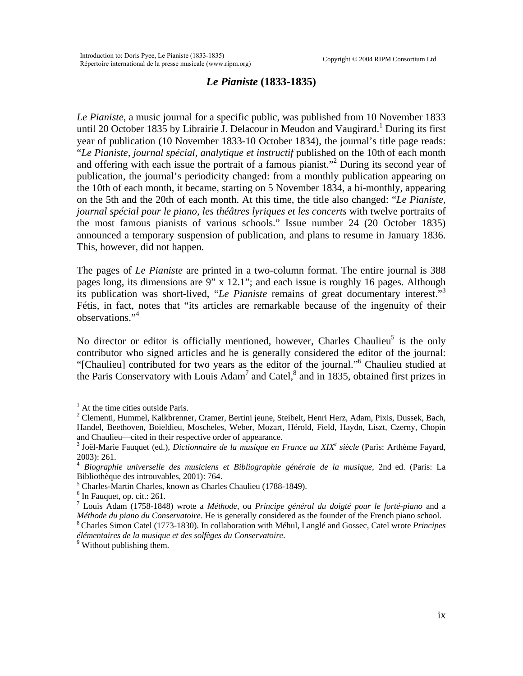## *Le Pianiste* **(1833-1835)**

*Le Pianiste*, a music journal for a specific public, was published from 10 November 1833 until 20 October [1](#page-0-0)835 by Librairie J. Delacour in Meudon and Vaugirard.<sup>1</sup> During its first year of publication (10 November 1833-10 October 1834), the journal's title page reads: "*Le Pianiste, journal spécial, analytique et instructif* published on the 10th of each month and offering with each issue the portrait of a famous pianist."<sup>[2](#page-0-1)</sup> During its second year of publication, the journal's periodicity changed: from a monthly publication appearing on the 10th of each month, it became, starting on 5 November 1834, a bi-monthly, appearing on the 5th and the 20th of each month. At this time, the title also changed: "*Le Pianiste, journal spécial pour le piano, les théâtres lyriques et les concerts* with twelve portraits of the most famous pianists of various schools." Issue number 24 (20 October 1835) announced a temporary suspension of publication, and plans to resume in January 1836. This, however, did not happen.

The pages of *Le Pianiste* are printed in a two-column format. The entire journal is 388 pages long, its dimensions are 9" x 12.1"; and each issue is roughly 16 pages. Although its publication was short-lived, "*Le Pianiste* remains of great documentary interest."[3](#page-0-2) Fétis, in fact, notes that "its articles are remarkable because of the ingenuity of their observations."[4](#page-0-3)

No director or editor is officially mentioned, however, Charles Chaulieu<sup>[5](#page-0-4)</sup> is the only contributor who signed articles and he is generally considered the editor of the journal: "[Chaulieu] contributed for two years as the editor of the journal.["6](#page-0-5) Chaulieu studied at the Paris Conservatory with Louis Adam<sup>[7](#page-0-6)</sup> and Catel, $^8$  $^8$  and in 1835, obtained first prizes in

<sup>5</sup> Charles-Martin Charles, known as Charles Chaulieu (1788-1849).

 $6$  In Fauquet, op. cit.: 261.

<span id="page-0-6"></span><span id="page-0-5"></span><span id="page-0-4"></span><span id="page-0-3"></span><span id="page-0-2"></span>

<span id="page-0-0"></span><sup>&</sup>lt;sup>1</sup> At the time cities outside Paris.

<span id="page-0-1"></span><sup>&</sup>lt;sup>2</sup> Clementi, Hummel, Kalkbrenner, Cramer, Bertini jeune, Steibelt, Henri Herz, Adam, Pixis, Dussek, Bach, Handel, Beethoven, Boieldieu, Moscheles, Weber, Mozart, Hérold, Field, Haydn, Liszt, Czerny, Chopin and Chaulieu—cited in their respective order of appearance.<br><sup>3</sup> Joël-Marie Fauquet (ed.), *Dictionnaire de la musique en France au XIX<sup>e</sup> siècle* (Paris: Arthème Fayard,

<sup>2003): 261.</sup> 

<span id="page-0-7"></span><sup>4</sup> *Biographie universelle des musiciens et Bibliographie générale de la musique*, 2nd ed. (Paris: La Bibliothèque des introuvables, 2001): 764.

<sup>7</sup> Louis Adam (1758-1848) wrote a *Méthode*, ou *Principe général du doigté pour le forté-piano* and a *Méthode du piano du Conservatoire*. He is generally considered as the founder of the French piano school. 8 Charles Simon Catel (1773-1830). In collaboration with Méhul, Langlé and Gossec, Catel wrote *Principes* 

élémentaires de la musique et des solfèges du Conservatoire.<br><sup>9</sup> Without publishing them.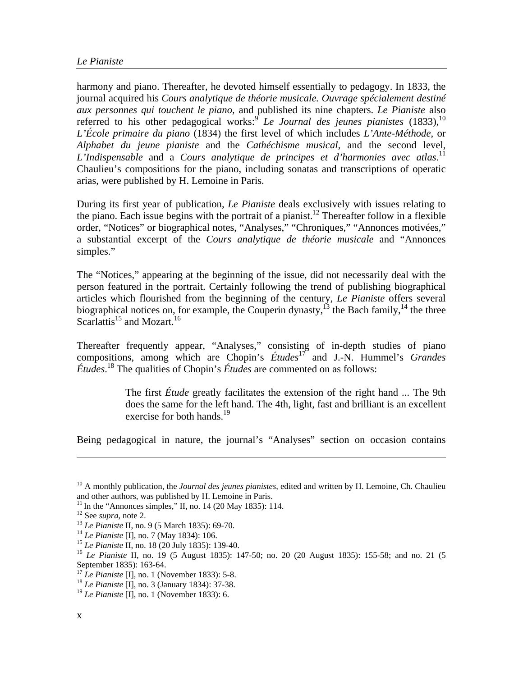harmony and piano. Thereafter, he devoted himself essentially to pedagogy. In 1833, the journal acquired his *Cours analytique de théorie musicale. Ouvrage spécialement destiné aux personnes qui touchent le piano,* and published its nine chapters. *Le Pianiste* also referred to his other pedagogical works:<sup>[9](#page-1-0)</sup> *Le Journal des jeunes pianistes*  $(1833)$ ,<sup>10</sup> *L'École primaire du piano* (1834) the first level of which includes *L'Ante-Méthode*, or *Alphabet du jeune pianiste* and the *Cathéchisme musical*, and the second level, *L'Indispensable* and a *Cours analytique de principes et d'harmonies avec atlas*. [11](#page-1-2) Chaulieu's compositions for the piano, including sonatas and transcriptions of operatic arias, were published by H. Lemoine in Paris.

During its first year of publication, *Le Pianiste* deals exclusively with issues relating to the piano. Each issue begins with the portrait of a pianist.<sup>12</sup> Thereafter follow in a flexible order, "Notices" or biographical notes, "Analyses," "Chroniques," "Annonces motivées," a substantial excerpt of the *Cours analytique de théorie musicale* and "Annonces simples."

The "Notices," appearing at the beginning of the issue, did not necessarily deal with the person featured in the portrait. Certainly following the trend of publishing biographical articles which flourished from the beginning of the century, *Le Pianiste* offers several biographical notices on, for example, the Couperin dynasty,<sup>13</sup> the Bach family,<sup>14</sup> the three Scarlattis<sup>15</sup> and Mozart.<sup>[16](#page-1-7)</sup>

Thereafter frequently appear, "Analyses," consisting of in-depth studies of piano compositions, among which are Chopin's *Études*[17](#page-1-8) and J.-N. Hummel's *Grandes Études*. [18 T](#page-1-9)he qualities of Chopin's *Études* are commented on as follows:

> The first *Étude* greatly facilitates the extension of the right hand ... The 9th does the same for the left hand. The 4th, light, fast and brilliant is an excellent exercise for both hands.<sup>[19](#page-1-10)</sup>

Being pedagogical in nature, the journal's "Analyses" section on occasion contains

 $\overline{a}$ 

<span id="page-1-1"></span><span id="page-1-0"></span><sup>&</sup>lt;sup>10</sup> A monthly publication, the *Journal des jeunes pianistes*, edited and written by H. Lemoine, Ch. Chaulieu and other authors, was published by H. Lemoine in Paris.

<span id="page-1-2"></span>

<span id="page-1-3"></span>

<span id="page-1-4"></span>

<span id="page-1-5"></span>

<span id="page-1-7"></span><span id="page-1-6"></span>

<sup>&</sup>lt;sup>11</sup> In the "Annonces simples," II, no. 14 (20 May 1835): 114.<br><sup>12</sup> See *supra*, note 2.<br><sup>13</sup> Le Pianiste II, no. 9 (5 March 1835): 69-70.<br><sup>14</sup> Le Pianiste II, no. 18 (20 July 1834): 106.<br><sup>15</sup> Le Pianiste II, no. 18 (20 J September 1835): 163-64.<br><sup>17</sup> Le Pianiste [I], no. 1 (November 1833): 5-8.

<span id="page-1-8"></span>

<span id="page-1-9"></span><sup>&</sup>lt;sup>18</sup> *Le Pianiste* [I], no. 3 (January 1834): 37-38.

<span id="page-1-10"></span><sup>19</sup> *Le Pianiste* [I], no. 1 (November 1833): 6.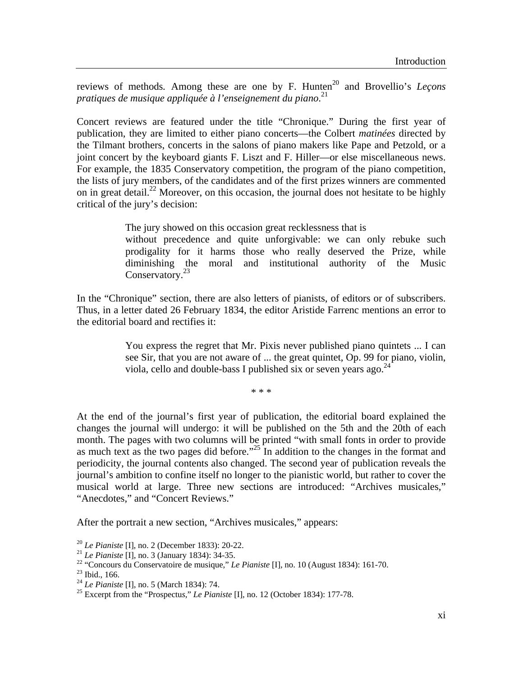reviews of methods. Among these are one by F. Hunten<sup>20</sup> and Brovellio's *Lecons pratiques de musique appliquée à l'enseignement du piano*. [21](#page-2-1)

Concert reviews are featured under the title "Chronique." During the first year of publication, they are limited to either piano concerts—the Colbert *matinées* directed by the Tilmant brothers, concerts in the salons of piano makers like Pape and Petzold, or a joint concert by the keyboard giants F. Liszt and F. Hiller—or else miscellaneous news. For example, the 1835 Conservatory competition, the program of the piano competition, the lists of jury members, of the candidates and of the first prizes winners are commented on in great detail.<sup>22</sup> Moreover, on this occasion, the journal does not hesitate to be highly critical of the jury's decision:

The jury showed on this occasion great recklessness that is

without precedence and quite unforgivable: we can only rebuke such prodigality for it harms those who really deserved the Prize, while diminishing the moral and institutional authority of the Music Conservatory.<sup>[23](#page-2-3)</sup>

In the "Chronique" section, there are also letters of pianists, of editors or of subscribers. Thus, in a letter dated 26 February 1834, the editor Aristide Farrenc mentions an error to the editorial board and rectifies it:

> You express the regret that Mr. Pixis never published piano quintets ... I can see Sir, that you are not aware of ... the great quintet, Op. 99 for piano, violin, viola, cello and double-bass I published six or seven years ago.  $^{24}$  $^{24}$  $^{24}$

> > \* \* \*

At the end of the journal's first year of publication, the editorial board explained the changes the journal will undergo: it will be published on the 5th and the 20th of each month. The pages with two columns will be printed "with small fonts in order to provide as much text as the two pages did before."<sup>25</sup> In addition to the changes in the format and periodicity, the journal contents also changed. The second year of publication reveals the journal's ambition to confine itself no longer to the pianistic world, but rather to cover the musical world at large. Three new sections are introduced: "Archives musicales," "Anecdotes," and "Concert Reviews."

After the portrait a new section, "Archives musicales," appears:

<span id="page-2-0"></span>

<span id="page-2-2"></span><span id="page-2-1"></span>

<sup>&</sup>lt;sup>20</sup> *Le Pianiste* [I], no. 2 (December 1833): 20-22.<br><sup>21</sup> *Le Pianiste* [I], no. 3 (January 1834): 34-35.<br><sup>22</sup> "Concours du Conservatoire de musique," *Le Pianiste* [I], no. 10 (August 1834): 161-70.<br><sup>23</sup> *Le Pianiste* [I

<span id="page-2-3"></span>

<span id="page-2-4"></span>

<span id="page-2-5"></span><sup>&</sup>lt;sup>25</sup> Excerpt from the "Prospectus," *Le Pianiste* [I], no. 12 (October 1834): 177-78.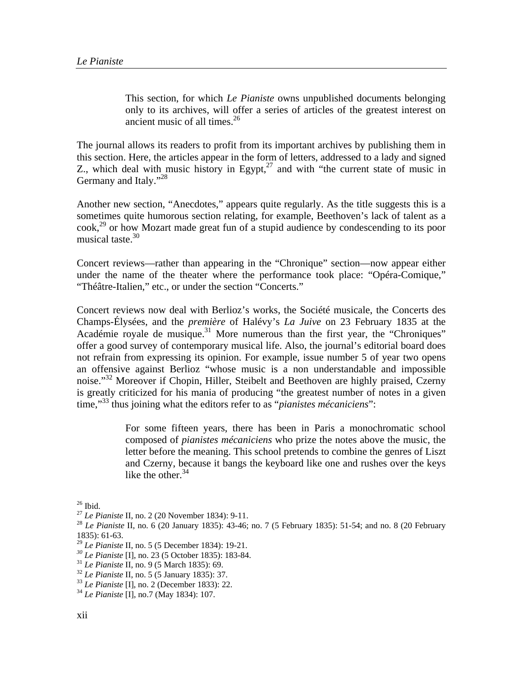This section, for which *Le Pianiste* owns unpublished documents belonging only to its archives, will offer a series of articles of the greatest interest on ancient music of all times.  $26<sup>26</sup>$  $26<sup>26</sup>$ 

The journal allows its readers to profit from its important archives by publishing them in this section. Here, the articles appear in the form of letters, addressed to a lady and signed Z., which deal with music history in Egypt, $27$  and with "the current state of music in Germany and Italy."<sup>28</sup>

Another new section, "Anecdotes," appears quite regularly. As the title suggests this is a sometimes quite humorous section relating, for example, Beethoven's lack of talent as a  $\cosh^{29}$  or how Mozart made great fun of a stupid audience by condescending to its poor musical taste. $30$ 

Concert reviews—rather than appearing in the "Chronique" section—now appear either under the name of the theater where the performance took place: "Opéra-Comique," "Théâtre-Italien," etc., or under the section "Concerts."

Concert reviews now deal with Berlioz's works, the Société musicale, the Concerts des Champs-Élysées, and the *première* of Halévy's *La Juive* on 23 February 1835 at the Académie royale de musique.<sup>31</sup> More numerous than the first year, the "Chroniques" offer a good survey of contemporary musical life. Also, the journal's editorial board does not refrain from expressing its opinion. For example, issue number 5 of year two opens an offensive against Berlioz "whose music is a non understandable and impossible noise."<sup>32</sup> Moreover if Chopin, Hiller, Steibelt and Beethoven are highly praised, Czerny is greatly criticized for his mania of producing "the greatest number of notes in a given time,"[33](#page-3-7) thus joining what the editors refer to as "*pianistes mécaniciens*":

> For some fifteen years, there has been in Paris a monochromatic school composed of *pianistes mécaniciens* who prize the notes above the music, the letter before the meaning. This school pretends to combine the genres of Liszt and Czerny, because it bangs the keyboard like one and rushes over the keys like the other. $34$

<span id="page-3-1"></span><span id="page-3-0"></span>

<sup>&</sup>lt;sup>26</sup> Ibid.<br><sup>27</sup> *Le Pianiste* II, no. 2 (20 November 1834): 9-11.

<span id="page-3-2"></span><sup>&</sup>lt;sup>28</sup> *Le Pianiste* II, no. 6 (20 January 1835): 43-46; no. 7 (5 February 1835): 51-54; and no. 8 (20 February 1835): 61-63.

<span id="page-3-4"></span><span id="page-3-3"></span>

<sup>&</sup>lt;sup>29</sup> *Le Pianiste* II, no. 5 (5 December 1834): 19-21.<br>
<sup>30</sup> *Le Pianiste* [I], no. 23 (5 October 1835): 183-84.<br>
<sup>31</sup> *Le Pianiste* II, no. 9 (5 March 1835): 69.<br>
<sup>32</sup> *Le Pianiste* II, no. 5 (5 January 1835): 37.<br>
<sup>33</sup>

<span id="page-3-5"></span>

<span id="page-3-6"></span>

<span id="page-3-7"></span>

<span id="page-3-8"></span>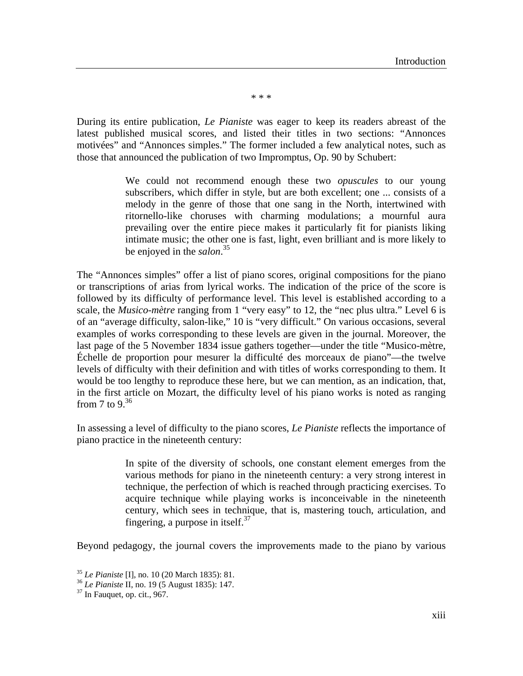\* \* \*

During its entire publication, *Le Pianiste* was eager to keep its readers abreast of the latest published musical scores, and listed their titles in two sections: "Annonces motivées" and "Annonces simples." The former included a few analytical notes, such as those that announced the publication of two Impromptus, Op. 90 by Schubert:

> We could not recommend enough these two *opuscules* to our young subscribers, which differ in style, but are both excellent; one ... consists of a melody in the genre of those that one sang in the North, intertwined with ritornello-like choruses with charming modulations; a mournful aura prevailing over the entire piece makes it particularly fit for pianists liking intimate music; the other one is fast, light, even brilliant and is more likely to be enjoyed in the *salon*. [35](#page-4-0)

The "Annonces simples" offer a list of piano scores, original compositions for the piano or transcriptions of arias from lyrical works. The indication of the price of the score is followed by its difficulty of performance level. This level is established according to a scale, the *Musico-mètre* ranging from 1 "very easy" to 12, the "nec plus ultra." Level 6 is of an "average difficulty, salon-like," 10 is "very difficult." On various occasions, several examples of works corresponding to these levels are given in the journal. Moreover, the last page of the 5 November 1834 issue gathers together—under the title "Musico-mètre, Échelle de proportion pour mesurer la difficulté des morceaux de piano"—the twelve levels of difficulty with their definition and with titles of works corresponding to them. It would be too lengthy to reproduce these here, but we can mention, as an indication, that, in the first article on Mozart, the difficulty level of his piano works is noted as ranging from 7 to 9. $36$ 

In assessing a level of difficulty to the piano scores, *Le Pianiste* reflects the importance of piano practice in the nineteenth century:

> In spite of the diversity of schools, one constant element emerges from the various methods for piano in the nineteenth century: a very strong interest in technique, the perfection of which is reached through practicing exercises. To acquire technique while playing works is inconceivable in the nineteenth century, which sees in technique, that is, mastering touch, articulation, and fingering, a purpose in itself. $37$

Beyond pedagogy, the journal covers the improvements made to the piano by various

<span id="page-4-0"></span><sup>35</sup> *Le Pianiste* [I], no. 10 (20 March 1835): 81. 36 *Le Pianiste* II, no. 19 (5 August 1835): 147. 37 In Fauquet, op. cit., 967.

<span id="page-4-1"></span>

<span id="page-4-2"></span>